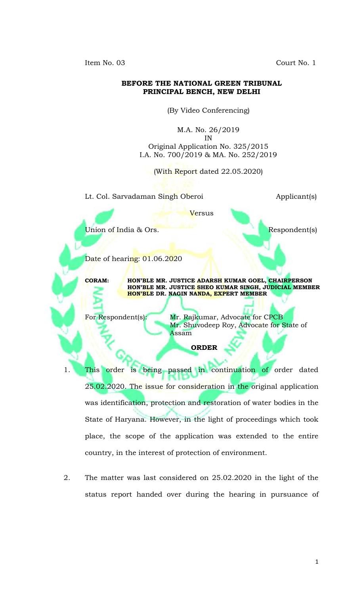Item No. 03 Court No. 1

## **BEFORE THE NATIONAL GREEN TRIBUNAL PRINCIPAL BENCH, NEW DELHI**

(By Video Conferencing)

M.A. No. 26/2019 IN Original Application No. 325/2015 I.A. No. 700/2019 & MA. No. 252/2019

(With Report dated 22.05.2020)

Lt. Col. Sarvadaman Singh Oberoi **Applicant**(s)

Versus

Union of India & Ors. Respondent(s)

Date of hearing: 01.06.2020

**CORAM: HON'BLE MR. JUSTICE ADARSH KUMAR GOEL, CHAIRPERSON HON'BLE MR. JUSTICE SHEO KUMAR SINGH, JUDICIAL MEMBER HON'BLE DR. NAGIN NANDA, EXPERT MEMBER**

For Respondent(s): Mr. Rajkumar, Advocate for CPCB Mr. Shuvodeep Roy, Advocate for State of Assam

**ORDER**

1. This order is being passed in continuation of order dated 25.02.2020. The issue for consideration in the original application was identification, protection and restoration of water bodies in the State of Haryana. However, in the light of proceedings which took place, the scope of the application was extended to the entire country, in the interest of protection of environment.

2. The matter was last considered on 25.02.2020 in the light of the status report handed over during the hearing in pursuance of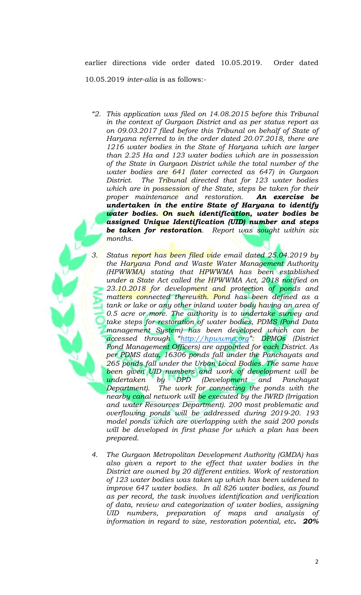earlier directions vide order dated 10.05.2019. Order dated 10.05.2019 *inter-alia* is as follows:-

- *"2. This application was filed on 14.08.2015 before this Tribunal in the context of Gurgaon District and as per status report as on 09.03.2017 filed before this Tribunal on behalf of State of Haryana referred to in the order dated 20.07.2018, there are 1216 water bodies in the State of Haryana which are larger than 2.25 Ha and 123 water bodies which are in possession of the State in Gurgaon District while the total number of the water bodies are 641 (later corrected as 647) in Gurgaon District. The Tribunal directed that for 123 water bodies which are in possession of the State, steps be taken for their proper maintenance and restoration. An exercise be undertaken in the entire State of Haryana to identify water bodies. On such identification, water bodies be assigned Unique Identification (UID) number and steps be taken for restoration. Report was sought within six months.*
- *3. Status report has been filed vide email dated 25.04.2019 by the Haryana Pond and Waste Water Management Authority (HPWWMA) stating that HPWWMA has been established under a State Act called the HPWWMA Act, 2018 notified on 23.10.2018 for development and protection of ponds and matters connected therewith. Pond has been defined as a tank or lake or any other inland water body having an area of 0.5 acre or more. The authority is to undertake survey and take steps for restoration of water bodies, PDMS (Pond Data management System) has been developed which can be accessed through "[http://hpwwma.org](http://hpwwma.org/)": DPMOs (District Pond Management Officers) are appointed for each District. As per PDMS data, 16306 ponds fall under the Panchayats and 265 ponds fall under the Urban Local Bodies. The same have been given UID numbers and work of development will be undertaken by DPD (Development and Panchayat Department). The work for connecting the ponds with the nearby canal network will be executed by the IWRD (Irrigation and water Resources Department). 200 most problematic and overflowing ponds will be addressed during 2019-20. 193 model ponds which are overlapping with the said 200 ponds will be developed in first phase for which a plan has been prepared.*
- *4. The Gurgaon Metropolitan Development Authority (GMDA) has also given a report to the effect that water bodies in the District are owned by 20 different entities. Work of restoration of 123 water bodies was taken up which has been widened to improve 647 water bodies. In all 826 water bodies, as found as per record, the task involves identification and verification of data, review and categorization of water bodies, assigning UID numbers, preparation of maps and analysis of information in regard to size, restoration potential, etc. 20%*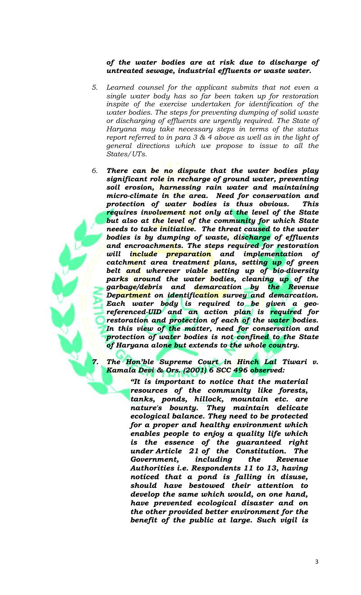## *of the water bodies are at risk due to discharge of untreated sewage, industrial effluents or waste water.*

- *5. Learned counsel for the applicant submits that not even a single water body has so far been taken up for restoration inspite of the exercise undertaken for identification of the water bodies. The steps for preventing dumping of solid waste or discharging of effluents are urgently required. The State of Haryana may take necessary steps in terms of the status report referred to in para 3 & 4 above as well as in the light of general directions which we propose to issue to all the States/UTs.*
- *6. There can be no dispute that the water bodies play significant role in recharge of ground water, preventing soil erosion, harnessing rain water and maintaining micro-climate in the area. Need for conservation and protection of water bodies is thus obvious. This requires involvement not only at the level of the State but also at the level of the community for which State needs to take initiative. The threat caused to the water bodies is by dumping of waste, discharge of effluents and encroachments. The steps required for restoration will include preparation and implementation of catchment area treatment plans, setting up of green belt and wherever viable setting up of bio-diversity parks around the water bodies, cleaning up of the garbage/debris and demarcation by the Revenue Department on identification survey and demarcation. Each water body is required to be given a georeferenced-UID and an action plan is required for restoration and protection of each of the water bodies. In this view of the matter, need for conservation and protection of water bodies is not confined to the State of Haryana alone but extends to the whole country.*

*7. The Hon'ble Supreme Court in Hinch Lal Tiwari v. Kamala Devi & Ors. (2001) 6 SCC 496 observed:*

> *"It is important to notice that the material resources of the community like forests, tanks, ponds, hillock, mountain etc. are nature's bounty. They maintain delicate ecological balance. They need to be protected for a proper and healthy environment which enables people to enjoy a quality life which is the essence of the guaranteed right under [Article 21](https://indiankanoon.org/doc/1199182/) of the Constitution. The Government, including the Revenue Authorities i.e. Respondents 11 to 13, having noticed that a pond is falling in disuse, should have bestowed their attention to develop the same which would, on one hand, have prevented ecological disaster and on the other provided better environment for the benefit of the public at large. Such vigil is*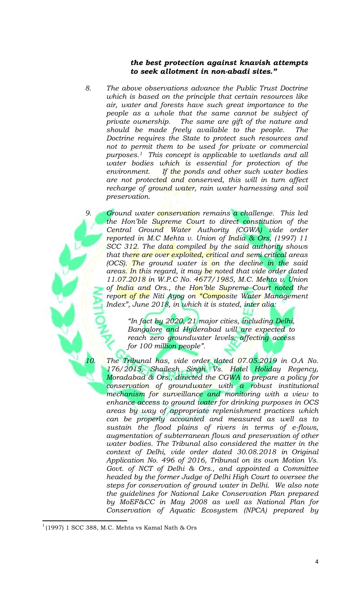## *the best protection against knavish attempts to seek allotment in non-abadi sites."*

*8. The above observations advance the Public Trust Doctrine which is based on the principle that certain resources like air, water and forests have such great importance to the people as a whole that the same cannot be subject of private ownership. The same are gift of the nature and should be made freely available to the people. The Doctrine requires the State to protect such resources and not to permit them to be used for private or commercial purposes.1 This concept is applicable to wetlands and all water bodies which is essential for protection of the environment. If the ponds and other such water bodies are not protected and conserved, this will in turn affect recharge of ground water, rain water harnessing and soil preservation.* 

*9. Ground water conservation remains a challenge. This led the Hon'ble Supreme Court to direct constitution of the Central Ground Water Authority (CGWA) vide order reported in M.C Mehta v. Union of India & Ors, (1997) 11 SCC 312. The data compiled by the said authority shows that there are over exploited, critical and semi critical areas (OCS). The ground water is on the decline in the said areas. In this regard, it may be noted that vide order dated 11.07.2018 in W.P.C No. 4677/1985, M.C. Mehta v. Union of India and Ors., the Hon'ble Supreme Court noted the report of the Niti Ayog on "Composite Water Management Index", June 2018, in which it is stated, inter alia:*

> *"In fact by 2020, 21 major cities, including Delhi, Bangalore and Hyderabad will are expected to reach zero groundwater levels, affecting access for 100 million people".*

*10. The Tribunal has, vide order dated 07.05.2019 in O.A No. 176/2015, Shailesh Singh Vs. Hotel Holiday Regency, Moradabad & Ors., directed the CGWA to prepare a policy for conservation of groundwater with a robust institutional mechanism for surveillance and monitoring with a view to enhance access to ground water for drinking purposes in OCS areas by way of appropriate replenishment practices which can be properly accounted and measured as well as to sustain the flood plains of rivers in terms of e-flows, augmentation of subterranean flows and preservation of other water bodies. The Tribunal also considered the matter in the context of Delhi, vide order dated 30.08.2018 in Original Application No. 496 of 2016, Tribunal on its own Motion Vs. Govt. of NCT of Delhi & Ors., and appointed a Committee headed by the former Judge of Delhi High Court to oversee the steps for conservation of ground water in Delhi. We also note the guidelines for National Lake Conservation Plan prepared by MoEF&CC in May 2008 as well as National Plan for Conservation of Aquatic Ecosystem (NPCA) prepared by* 

 $\overline{\phantom{a}}$ 

 $^1$ (1997) 1 SCC 388, M.C. Mehta vs Kamal Nath & Ors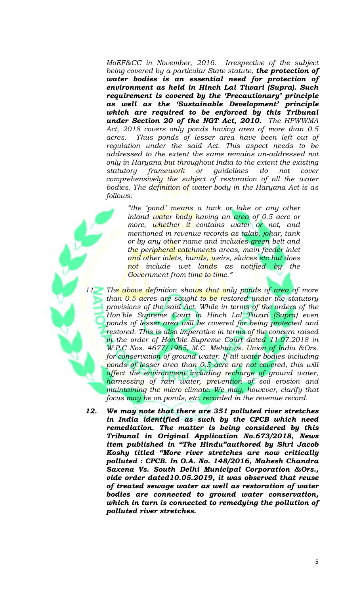*MoEF&CC in November, 2016. Irrespective of the subject being covered by a particular State statute, the protection of water bodies is an essential need for protection of environment as held in Hinch Lal Tiwari (Supra). Such requirement is covered by the 'Precautionary' principle as well as the 'Sustainable Development' principle which are required to be enforced by this Tribunal under Section 20 of the NGT Act, 2010. The HPWWMA Act, 2018 covers only ponds having area of more than 0.5 acres. Thus ponds of lesser area have been left out of regulation under the said Act. This aspect needs to be addressed to the extent the same remains un-addressed not only in Haryana but throughout India to the extent the existing statutory framework or guidelines do not cover comprehensively the subject of restoration of all the water bodies. The definition of water body in the Haryana Act is as follows:* 

*"the 'pond' means a tank or lake or any other inland water body having an area of 0.5 acre or more, whether it contains water or not, and mentioned in revenue records as talab, johar, tank or by any other name and includes green belt and the peripheral catchments areas, main feeder inlet and other inlets, bunds, weirs, sluices etc but does not include wet lands as notified by the Government from time to time."*

*11. The above definition shows that only ponds of area of more than 0.5 acres are sought to be restored under the statutory provisions of the said Act. While in terms of the orders of the Hon'ble Supreme Court in Hinch Lal Tiwari (Supra) even ponds of lesser area will be covered for being protected and restored. This is also imperative in terms of the concern raised in the order of Hon'ble Supreme Court dated 11.07.2018 in W.P.C Nos. 4677/1985, M.C. Mehta vs. Union of India &Ors.*  for conservation of ground water. If all water bodies including *ponds of lesser area than 0.5 acre are not covered, this will affect the environment including recharge of ground water, harnessing of rain water, prevention of soil erosion and maintaining the micro climate. We may, however, clarify that focus may be on ponds, etc. recorded in the revenue record.*

*12. We may note that there are 351 polluted river stretches in India identified as such by the CPCB which need remediation. The matter is being considered by this Tribunal in Original Application No.673/2018, News item published in "The Hindu"authored by Shri Jacob Koshy titled "More river stretches are now critically polluted : CPCB. In O.A. No. 148/2016, Mahesh Chandra Saxena Vs. South Delhi Municipal Corporation &Ors., vide order dated10.05.2019, it was observed that reuse of treated sewage water as well as restoration of water bodies are connected to ground water conservation, which in turn is connected to remedying the pollution of polluted river stretches.*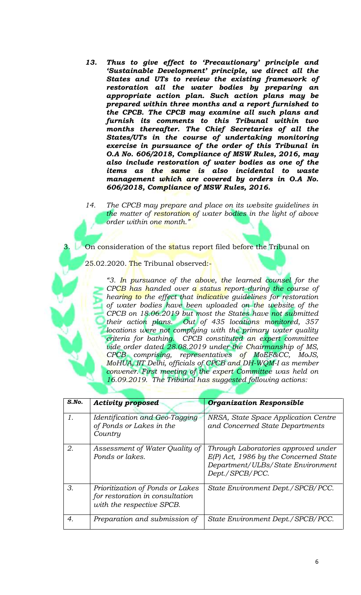- *13. Thus to give effect to 'Precautionary' principle and 'Sustainable Development' principle, we direct all the States and UTs to review the existing framework of restoration all the water bodies by preparing an appropriate action plan. Such action plans may be prepared within three months and a report furnished to the CPCB. The CPCB may examine all such plans and furnish its comments to this Tribunal within two months thereafter. The Chief Secretaries of all the States/UTs in the course of undertaking monitoring exercise in pursuance of the order of this Tribunal in O.A No. 606/2018, Compliance of MSW Rules, 2016, may also include restoration of water bodies as one of the items as the same is also incidental to waste management which are covered by orders in O.A No. 606/2018, Compliance of MSW Rules, 2016.*
- *14. The CPCB may prepare and place on its website guidelines in the matter of restoration of water bodies in the light of above order within one month."*

On consideration of the status report filed before the Tribunal on

25.02.2020. <mark>Th</mark>e Tribunal observed:-

*"3. In pursuance of the above, the learned counsel for the CPCB has handed over a status report during the course of hearing to the effect that indicative guidelines for restoration of water bodies have been uploaded on the website of the CPCB on 18.06.2019 but most the States have not submitted their action plans. Out of 435 locations monitored, 357 locations were not complying with the primary water quality criteria for bathing. CPCB constituted an expert committee vide order dated 28.08.2019 under the Chairmanship of MS, CPCB comprising, representatives of MoEF&CC, MoJS, MoHUA, IIT Delhi, officials of CPCB and DH-WQM-I as member convener. First meeting of the expert Committee was held on 16.09.2019. The Tribunal has suggested following actions:*

| $S$ .No. | <b>Activity proposed</b>                                                                         | <b>Organization Responsible</b>                                                                                                        |
|----------|--------------------------------------------------------------------------------------------------|----------------------------------------------------------------------------------------------------------------------------------------|
| 1.       | Identification and Geo-Tagging<br>of Ponds or Lakes in the<br>Country                            | NRSA, State Space Application Centre<br>and Concerned State Departments                                                                |
| 2.       | Assessment of Water Quality of<br>Ponds or lakes.                                                | Through Laboratories approved under<br>$E(P)$ Act, 1986 by the Concerned State<br>Department/ULBs/State Environment<br>Dept./SPCB/PCC. |
| 3.       | Prioritization of Ponds or Lakes<br>for restoration in consultation<br>with the respective SPCB. | State Environment Dept./SPCB/PCC.                                                                                                      |
| 4.       | Preparation and submission of                                                                    | State Environment Dept./SPCB/PCC.                                                                                                      |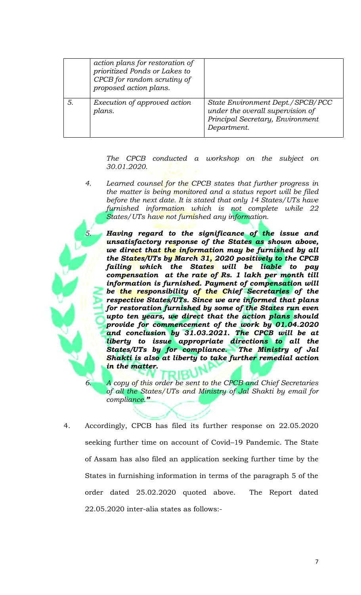| action plans for restoration of<br>prioritized Ponds or Lakes to<br>CPCB for random scrutiny of<br>proposed action plans. |                                                                                                                         |
|---------------------------------------------------------------------------------------------------------------------------|-------------------------------------------------------------------------------------------------------------------------|
| Execution of approved action<br>plans.                                                                                    | State Environment Dept./SPCB/PCC<br>under the overall supervision of<br>Principal Secretary, Environment<br>Department. |

*The CPCB conducted a workshop on the subject on 30.01.2020.* 

*4. Learned counsel for the CPCB states that further progress in the matter is being monitored and a status report will be filed before the next date. It is stated that only 14 States/UTs have furnished information which is not complete while 22 States/UTs have not furnished any information.*

*5. Having regard to the significance of the issue and unsatisfactory response of the States as shown above, we direct that the information may be furnished by all the States/UTs by March 31, 2020 positively to the CPCB failing which the States will be liable to pay compensation at the rate of Rs. 1 lakh per month till information is furnished. Payment of compensation will be the responsibility of the Chief Secretaries of the respective States/UTs. Since we are informed that plans for restoration furnished by some of the States run even upto ten years, we direct that the action plans should provide for commencement of the work by 01.04.2020 and conclusion by 31.03.2021. The CPCB will be at liberty to issue appropriate directions to all the States/UTs by for compliance. The Ministry of Jal Shakti is also at liberty to take further remedial action in the matter.* 

*6. A copy of this order be sent to the CPCB and Chief Secretaries of all the States/UTs and Ministry of Jal Shakti by email for compliance."*

4. Accordingly, CPCB has filed its further response on 22.05.2020 seeking further time on account of Covid–19 Pandemic. The State of Assam has also filed an application seeking further time by the States in furnishing information in terms of the paragraph 5 of the order dated 25.02.2020 quoted above. The Report dated 22.05.2020 inter-alia states as follows:-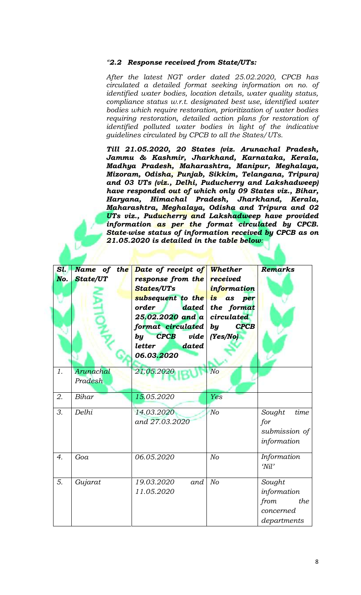## *"2.2 Response received from State/UTs:*

*After the latest NGT order dated 25.02.2020, CPCB has circulated a detailed format seeking information on no. of identified water bodies, location details, water quality status, compliance status w.r.t. designated best use, identified water bodies which require restoration, prioritization of water bodies requiring restoration, detailed action plans for restoration of identified polluted water bodies in light of the indicative guidelines circulated by CPCB to all the States/UTs.*

*Till 21.05.2020, 20 States (viz. Arunachal Pradesh, Jammu & Kashmir, Jharkhand, Karnataka, Kerala, Madhya Pradesh, Maharashtra, Manipur, Meghalaya, Mizoram, Odisha, Punjab, Sikkim, Telangana, Tripura) and 03 UTs (viz., Delhi, Puducherry and Lakshadweep) have responded out of which only 09 States viz., Bihar, Haryana, Himachal Pradesh, Jharkhand, Kerala, Maharashtra, Meghalaya, Odisha and Tripura and 02 UTs viz., Puducherry and Lakshadweep have provided information as per the format circulated by CPCB. State-wise status of information received by CPCB as on 21.05.2020 is detailed in the table below:*

| Sl.<br>No.       | <b>State/UT</b> | Name of the Date of receipt of Whether<br>response from the<br><b>States/UTs</b><br>subsequent to the is as per<br>order<br>dated  <br>$25.02.2020$ and a circulated<br>format circulated by<br>$\bf{C} \bf{PC} \bf{B}$<br>vide<br>$\bm{b}\bm{y}$<br>dated<br>letter | received<br>information<br>the format<br><b>CPCB</b><br>(Yes/No) | Remarks                                                          |
|------------------|-----------------|----------------------------------------------------------------------------------------------------------------------------------------------------------------------------------------------------------------------------------------------------------------------|------------------------------------------------------------------|------------------------------------------------------------------|
| 1.               | Arunachal       | 06.03.2020<br>21.05.2020                                                                                                                                                                                                                                             | N <sub>O</sub>                                                   |                                                                  |
|                  | Pradesh         |                                                                                                                                                                                                                                                                      |                                                                  |                                                                  |
| 2.               | Bihar           | 15.05.2020                                                                                                                                                                                                                                                           | Yes                                                              |                                                                  |
| 3.               | Delhi           | 14.03.2020<br>and 27.03.2020                                                                                                                                                                                                                                         | N <sub>O</sub>                                                   | time<br>Sought<br>for<br>submission of<br>information            |
| $\overline{4}$ . | Goa             | 06.05.2020                                                                                                                                                                                                                                                           | N <sub>O</sub>                                                   | Information<br>'Nil                                              |
| 5.               | Gujarat         | 19.03.2020<br>and<br>11.05.2020                                                                                                                                                                                                                                      | N <sub>O</sub>                                                   | Sought<br>information<br>from<br>the<br>concerned<br>departments |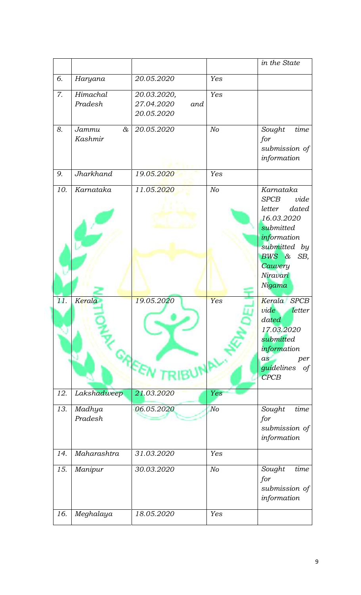|     |                              |                                                |                | in the State                                                                                                                                                   |
|-----|------------------------------|------------------------------------------------|----------------|----------------------------------------------------------------------------------------------------------------------------------------------------------------|
| б.  | Haryana                      | 20.05.2020                                     | Yes            |                                                                                                                                                                |
| 7.  | Himachal<br>Pradesh          | 20.03.2020,<br>27.04.2020<br>and<br>20.05.2020 | Yes            |                                                                                                                                                                |
| 8.  | $\alpha$<br>Jammu<br>Kashmir | 20.05.2020                                     | N <sub>O</sub> | time<br>Sought<br>for<br>submission of<br>information                                                                                                          |
| 9.  | Jharkhand                    | 19.05.2020                                     | Yes            |                                                                                                                                                                |
| 10. | Karnataka                    | 11.05.2020                                     | N <sub>O</sub> | Karnataka<br>vide<br><b>SPCB</b><br>dated<br>letter<br>16.03.2020<br>submitted<br>information<br>submitted by<br>BWS &<br>SB,<br>Cauvery<br>Niravari<br>Nigama |
| 11. | Kerala                       | 19.05.2020                                     | Yes            | Kerala SPCB<br>vide<br>letter<br>dated<br>17.03.2020<br>submitted<br>information<br>per<br>as<br>guidelines<br>of<br>CPCB                                      |
| 12. | Lakshadweep                  | 21.03.2020                                     | Yes            |                                                                                                                                                                |
| 13. | Madhya<br>Pradesh            | 06.05.2020                                     | No             | time<br>Sought<br>for<br>submission of<br>information                                                                                                          |
| 14. | Maharashtra                  | 31.03.2020                                     | Yes            |                                                                                                                                                                |
| 15. | Manipur                      | 30.03.2020                                     | No             | time<br>Sought<br>for<br>submission of<br>information                                                                                                          |
| 16. | Meghalaya                    | 18.05.2020                                     | Yes            |                                                                                                                                                                |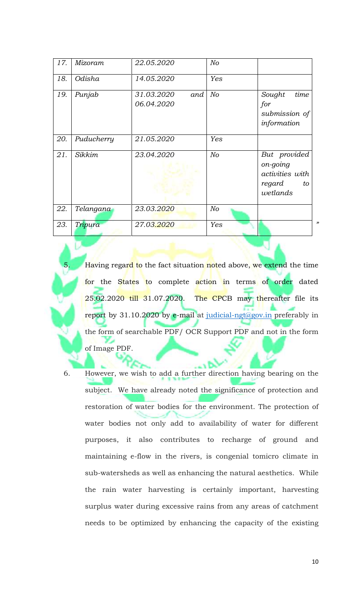| 17. | Mizoram    | 22.05.2020                      | N <sub>O</sub> |                                                                         |
|-----|------------|---------------------------------|----------------|-------------------------------------------------------------------------|
| 18. | Odisha     | 14.05.2020                      | Yes            |                                                                         |
| 19. | Punjab     | 31.03.2020<br>and<br>06.04.2020 | N <sub>O</sub> | time<br>Sought<br>for<br>submission of<br>information                   |
| 20. | Puducherry | 21.05.2020                      | Yes            |                                                                         |
| 21. | Sikkim     | 23.04.2020                      | No             | But provided<br>on-going<br>activities with<br>regard<br>to<br>wetlands |
| 22. | Telangana  | 23.03.2020                      | No             |                                                                         |
| 23. | Tripura    | 27.03.2020                      | Yes            | $\lambda$                                                               |

Having regar<mark>d to</mark> the fact situation noted above, we extend the time for the States to complete action in terms of order dated  $25.02.2020$  till 31.07.2020. The CPCB may thereafter file its report by 31.10.2020 by e-mail at [judicial-ngt@gov.in](mailto:judicial-ngt@gov.in) preferably in the form of searchable PDF/ OCR Support PDF and not in the form of Image PDF.

6. However, we wish to add a further direction having bearing on the subject. We have already noted the significance of protection and restoration of water bodies for the environment. The protection of water bodies not only add to availability of water for different purposes, it also contributes to recharge of ground and maintaining e-flow in the rivers, is congenial tomicro climate in sub-watersheds as well as enhancing the natural aesthetics. While the rain water harvesting is certainly important, harvesting surplus water during excessive rains from any areas of catchment needs to be optimized by enhancing the capacity of the existing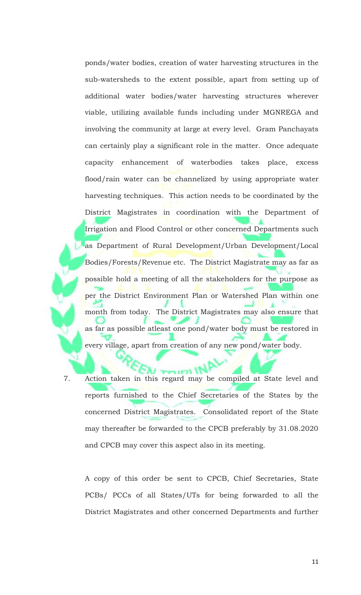ponds/water bodies, creation of water harvesting structures in the sub-watersheds to the extent possible, apart from setting up of additional water bodies/water harvesting structures wherever viable, utilizing available funds including under MGNREGA and involving the community at large at every level. Gram Panchayats can certainly play a significant role in the matter. Once adequate capacity enhancement of waterbodies takes place, excess flood/rain water can be channelized by using appropriate water harvesting techniques. This action needs to be coordinated by the District Magistrates in coordination with the Department of Irrigation and Flood Control or other concerned Departments such as Department of Rural Development/Urban Development/Local Bodies/Forests/Revenue etc. The District Magistrate may as far as possible hold a meeting of all the stakeholders for the purpose as per the District Environment Plan or Watershed Plan within one month from today. The District Magistrates may also ensure that as far as possible atleast one pond/water body must be restored in every village, apart from creation of any new pond/water body.

7. Action taken in this regard may be compiled at State level and reports furnished to the Chief Secretaries of the States by the concerned District Magistrates. Consolidated report of the State may thereafter be forwarded to the CPCB preferably by 31.08.2020 and CPCB may cover this aspect also in its meeting.

A copy of this order be sent to CPCB, Chief Secretaries, State PCBs/ PCCs of all States/UTs for being forwarded to all the District Magistrates and other concerned Departments and further